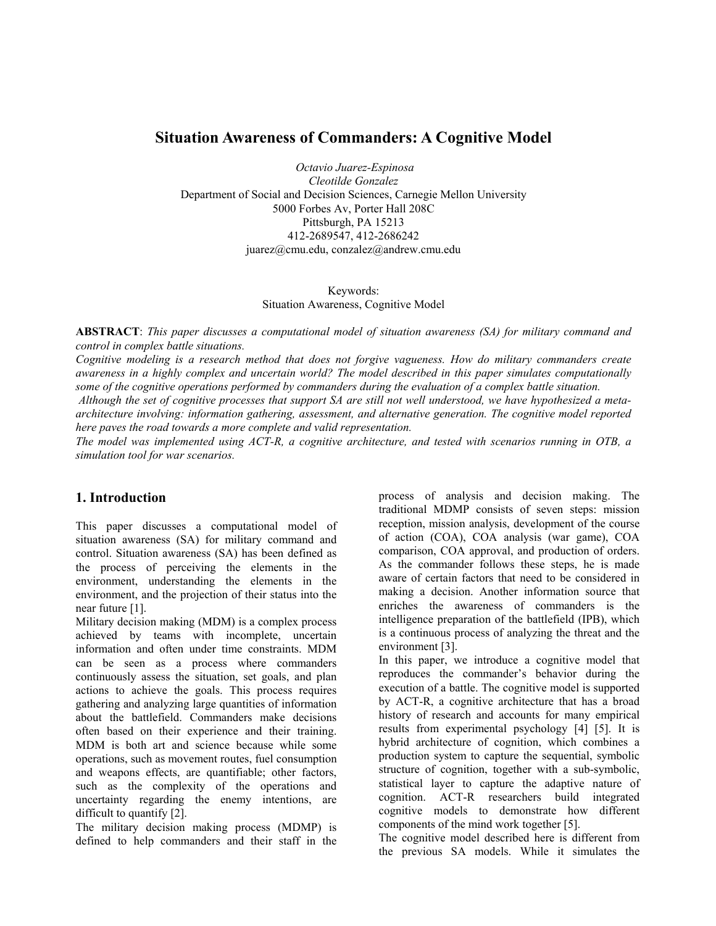# **Situation Awareness of Commanders: A Cognitive Model**

 *Octavio Juarez-Espinosa* 

*Cleotilde Gonzalez*  Department of Social and Decision Sciences, Carnegie Mellon University 5000 Forbes Av, Porter Hall 208C Pittsburgh, PA 15213 412-2689547, 412-2686242 juarez@cmu.edu, conzalez@andrew.cmu.edu

### Keywords: Situation Awareness, Cognitive Model

**ABSTRACT**: *This paper discusses a computational model of situation awareness (SA) for military command and control in complex battle situations.* 

*Cognitive modeling is a research method that does not forgive vagueness. How do military commanders create awareness in a highly complex and uncertain world? The model described in this paper simulates computationally*  some of the cognitive operations performed by commanders during the evaluation of a complex battle situation.

 *Although the set of cognitive processes that support SA are still not well understood, we have hypothesized a metaarchitecture involving: information gathering, assessment, and alternative generation. The cognitive model reported here paves the road towards a more complete and valid representation.* 

*The model was implemented using ACT-R, a cognitive architecture, and tested with scenarios running in OTB, a simulation tool for war scenarios.* 

## **1. Introduction**

This paper discusses a computational model of situation awareness (SA) for military command and control. Situation awareness (SA) has been defined as the process of perceiving the elements in the environment, understanding the elements in the environment, and the projection of their status into the near future [1].

Military decision making (MDM) is a complex process achieved by teams with incomplete, uncertain information and often under time constraints. MDM can be seen as a process where commanders continuously assess the situation, set goals, and plan actions to achieve the goals. This process requires gathering and analyzing large quantities of information about the battlefield. Commanders make decisions often based on their experience and their training. MDM is both art and science because while some operations, such as movement routes, fuel consumption and weapons effects, are quantifiable; other factors, such as the complexity of the operations and uncertainty regarding the enemy intentions, are difficult to quantify [2].

The military decision making process (MDMP) is defined to help commanders and their staff in the process of analysis and decision making. The traditional MDMP consists of seven steps: mission reception, mission analysis, development of the course of action (COA), COA analysis (war game), COA comparison, COA approval, and production of orders. As the commander follows these steps, he is made aware of certain factors that need to be considered in making a decision. Another information source that enriches the awareness of commanders is the intelligence preparation of the battlefield (IPB), which is a continuous process of analyzing the threat and the environment [3].

In this paper, we introduce a cognitive model that reproduces the commander's behavior during the execution of a battle. The cognitive model is supported by ACT-R, a cognitive architecture that has a broad history of research and accounts for many empirical results from experimental psychology [4] [5]. It is hybrid architecture of cognition, which combines a production system to capture the sequential, symbolic structure of cognition, together with a sub-symbolic, statistical layer to capture the adaptive nature of cognition. ACT-R researchers build integrated cognitive models to demonstrate how different components of the mind work together [5].

The cognitive model described here is different from the previous SA models. While it simulates the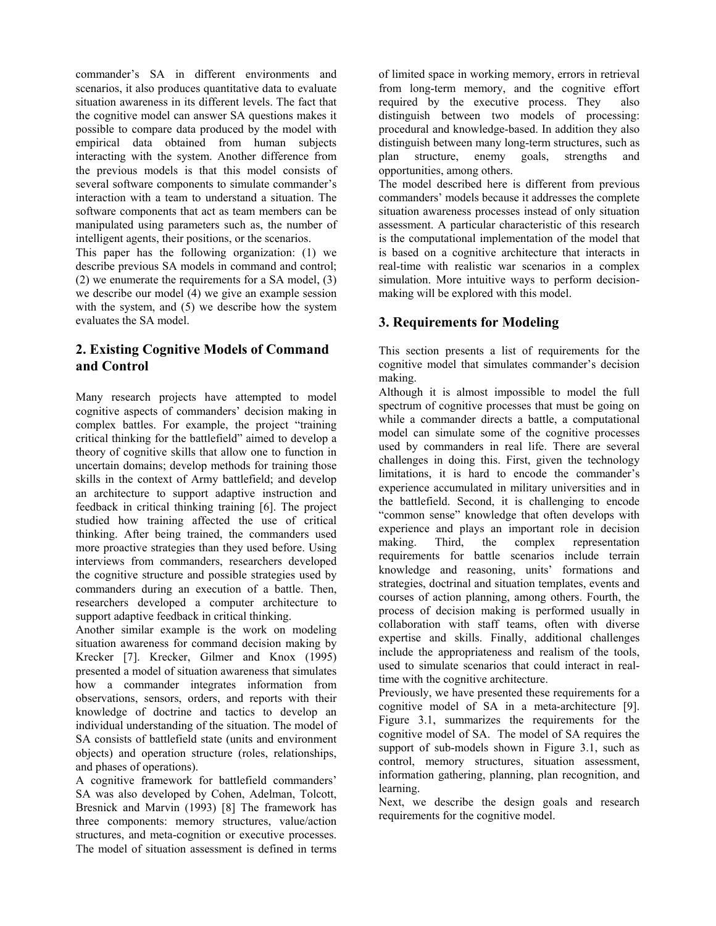commander's SA in different environments and scenarios, it also produces quantitative data to evaluate situation awareness in its different levels. The fact that the cognitive model can answer SA questions makes it possible to compare data produced by the model with empirical data obtained from human subjects interacting with the system. Another difference from the previous models is that this model consists of several software components to simulate commander's interaction with a team to understand a situation. The software components that act as team members can be manipulated using parameters such as, the number of intelligent agents, their positions, or the scenarios.

This paper has the following organization: (1) we describe previous SA models in command and control; (2) we enumerate the requirements for a SA model, (3) we describe our model (4) we give an example session with the system, and (5) we describe how the system evaluates the SA model.

# **2. Existing Cognitive Models of Command and Control**

Many research projects have attempted to model cognitive aspects of commanders' decision making in complex battles. For example, the project "training critical thinking for the battlefield" aimed to develop a theory of cognitive skills that allow one to function in uncertain domains; develop methods for training those skills in the context of Army battlefield; and develop an architecture to support adaptive instruction and feedback in critical thinking training [6]. The project studied how training affected the use of critical thinking. After being trained, the commanders used more proactive strategies than they used before. Using interviews from commanders, researchers developed the cognitive structure and possible strategies used by commanders during an execution of a battle. Then, researchers developed a computer architecture to support adaptive feedback in critical thinking.

Another similar example is the work on modeling situation awareness for command decision making by Krecker [7]. Krecker, Gilmer and Knox (1995) presented a model of situation awareness that simulates how a commander integrates information from observations, sensors, orders, and reports with their knowledge of doctrine and tactics to develop an individual understanding of the situation. The model of SA consists of battlefield state (units and environment objects) and operation structure (roles, relationships, and phases of operations).

A cognitive framework for battlefield commanders' SA was also developed by Cohen, Adelman, Tolcott, Bresnick and Marvin (1993) [8] The framework has three components: memory structures, value/action structures, and meta-cognition or executive processes. The model of situation assessment is defined in terms

of limited space in working memory, errors in retrieval from long-term memory, and the cognitive effort required by the executive process. They also distinguish between two models of processing: procedural and knowledge-based. In addition they also distinguish between many long-term structures, such as plan structure, enemy goals, strengths and opportunities, among others.

The model described here is different from previous commanders' models because it addresses the complete situation awareness processes instead of only situation assessment. A particular characteristic of this research is the computational implementation of the model that is based on a cognitive architecture that interacts in real-time with realistic war scenarios in a complex simulation. More intuitive ways to perform decisionmaking will be explored with this model.

# **3. Requirements for Modeling**

This section presents a list of requirements for the cognitive model that simulates commander's decision making.

Although it is almost impossible to model the full spectrum of cognitive processes that must be going on while a commander directs a battle, a computational model can simulate some of the cognitive processes used by commanders in real life. There are several challenges in doing this. First, given the technology limitations, it is hard to encode the commander's experience accumulated in military universities and in the battlefield. Second, it is challenging to encode "common sense" knowledge that often develops with experience and plays an important role in decision making. Third, the complex representation requirements for battle scenarios include terrain knowledge and reasoning, units' formations and strategies, doctrinal and situation templates, events and courses of action planning, among others. Fourth, the process of decision making is performed usually in collaboration with staff teams, often with diverse expertise and skills. Finally, additional challenges include the appropriateness and realism of the tools, used to simulate scenarios that could interact in realtime with the cognitive architecture.

Previously, we have presented these requirements for a cognitive model of SA in a meta-architecture [9]. Figure 3.1, summarizes the requirements for the cognitive model of SA. The model of SA requires the support of sub-models shown in Figure 3.1, such as control, memory structures, situation assessment, information gathering, planning, plan recognition, and learning.

Next, we describe the design goals and research requirements for the cognitive model.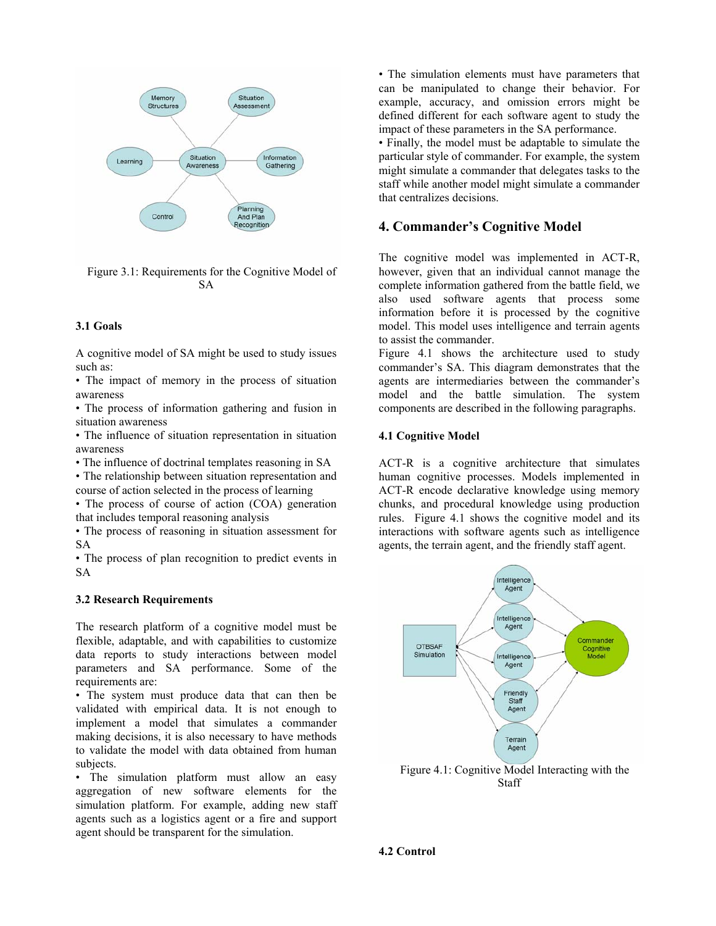

Figure 3.1: Requirements for the Cognitive Model of SA

#### **3.1 Goals**

A cognitive model of SA might be used to study issues such as:

• The impact of memory in the process of situation awareness

• The process of information gathering and fusion in situation awareness

• The influence of situation representation in situation awareness

• The influence of doctrinal templates reasoning in SA

• The relationship between situation representation and course of action selected in the process of learning

• The process of course of action (COA) generation that includes temporal reasoning analysis

• The process of reasoning in situation assessment for SA

• The process of plan recognition to predict events in SA

#### **3.2 Research Requirements**

The research platform of a cognitive model must be flexible, adaptable, and with capabilities to customize data reports to study interactions between model parameters and SA performance. Some of the requirements are:

• The system must produce data that can then be validated with empirical data. It is not enough to implement a model that simulates a commander making decisions, it is also necessary to have methods to validate the model with data obtained from human subjects.

• The simulation platform must allow an easy aggregation of new software elements for the simulation platform. For example, adding new staff agents such as a logistics agent or a fire and support agent should be transparent for the simulation.

• The simulation elements must have parameters that can be manipulated to change their behavior. For example, accuracy, and omission errors might be defined different for each software agent to study the impact of these parameters in the SA performance.

• Finally, the model must be adaptable to simulate the particular style of commander. For example, the system might simulate a commander that delegates tasks to the staff while another model might simulate a commander that centralizes decisions.

#### **4. Commander's Cognitive Model**

The cognitive model was implemented in ACT-R, however, given that an individual cannot manage the complete information gathered from the battle field, we also used software agents that process some information before it is processed by the cognitive model. This model uses intelligence and terrain agents to assist the commander.

Figure 4.1 shows the architecture used to study commander's SA. This diagram demonstrates that the agents are intermediaries between the commander's model and the battle simulation. The system components are described in the following paragraphs.

#### **4.1 Cognitive Model**

ACT-R is a cognitive architecture that simulates human cognitive processes. Models implemented in ACT-R encode declarative knowledge using memory chunks, and procedural knowledge using production rules. Figure 4.1 shows the cognitive model and its interactions with software agents such as intelligence agents, the terrain agent, and the friendly staff agent.



Figure 4.1: Cognitive Model Interacting with the **Staff**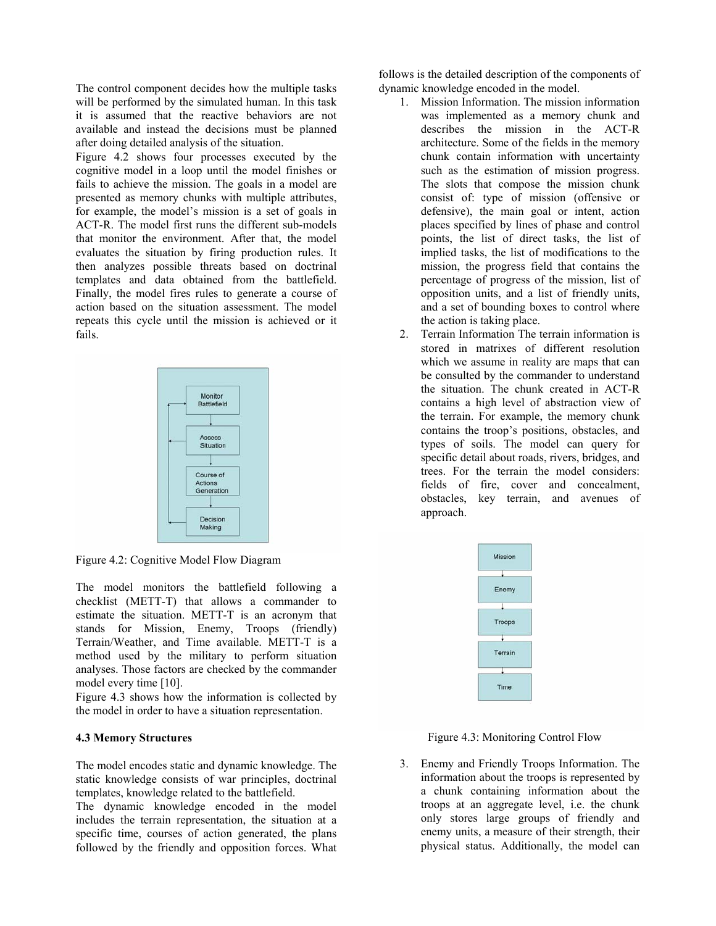The control component decides how the multiple tasks will be performed by the simulated human. In this task it is assumed that the reactive behaviors are not available and instead the decisions must be planned after doing detailed analysis of the situation.

Figure 4.2 shows four processes executed by the cognitive model in a loop until the model finishes or fails to achieve the mission. The goals in a model are presented as memory chunks with multiple attributes, for example, the model's mission is a set of goals in ACT-R. The model first runs the different sub-models that monitor the environment. After that, the model evaluates the situation by firing production rules. It then analyzes possible threats based on doctrinal templates and data obtained from the battlefield. Finally, the model fires rules to generate a course of action based on the situation assessment. The model repeats this cycle until the mission is achieved or it fails.



Figure 4.2: Cognitive Model Flow Diagram

The model monitors the battlefield following a checklist (METT-T) that allows a commander to estimate the situation. METT-T is an acronym that stands for Mission, Enemy, Troops (friendly) Terrain/Weather, and Time available. METT-T is a method used by the military to perform situation analyses. Those factors are checked by the commander model every time [10].

Figure 4.3 shows how the information is collected by the model in order to have a situation representation.

#### **4.3 Memory Structures**

The model encodes static and dynamic knowledge. The static knowledge consists of war principles, doctrinal templates, knowledge related to the battlefield.

The dynamic knowledge encoded in the model includes the terrain representation, the situation at a specific time, courses of action generated, the plans followed by the friendly and opposition forces. What

follows is the detailed description of the components of dynamic knowledge encoded in the model.

- 1. Mission Information. The mission information was implemented as a memory chunk and describes the mission in the ACT-R architecture. Some of the fields in the memory chunk contain information with uncertainty such as the estimation of mission progress. The slots that compose the mission chunk consist of: type of mission (offensive or defensive), the main goal or intent, action places specified by lines of phase and control points, the list of direct tasks, the list of implied tasks, the list of modifications to the mission, the progress field that contains the percentage of progress of the mission, list of opposition units, and a list of friendly units, and a set of bounding boxes to control where the action is taking place.
- 2. Terrain Information The terrain information is stored in matrixes of different resolution which we assume in reality are maps that can be consulted by the commander to understand the situation. The chunk created in ACT-R contains a high level of abstraction view of the terrain. For example, the memory chunk contains the troop's positions, obstacles, and types of soils. The model can query for specific detail about roads, rivers, bridges, and trees. For the terrain the model considers: fields of fire, cover and concealment, obstacles, key terrain, and avenues of approach.

| Mission     |
|-------------|
|             |
| Enemy       |
|             |
| Troops      |
|             |
| Terrain     |
|             |
| <b>Time</b> |

Figure 4.3: Monitoring Control Flow

3. Enemy and Friendly Troops Information. The information about the troops is represented by a chunk containing information about the troops at an aggregate level, i.e. the chunk only stores large groups of friendly and enemy units, a measure of their strength, their physical status. Additionally, the model can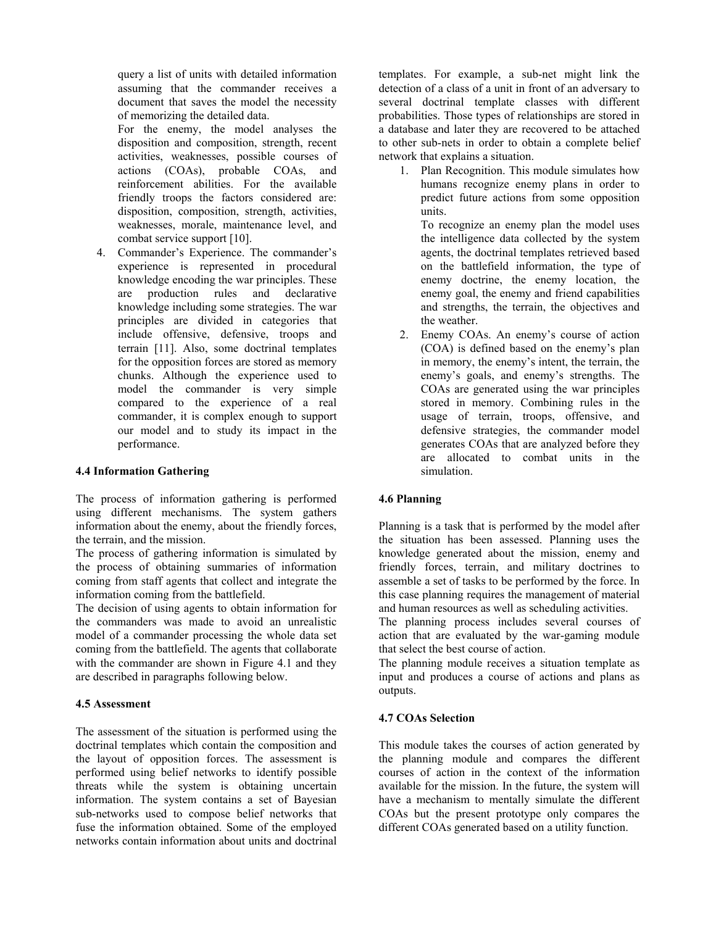query a list of units with detailed information assuming that the commander receives a document that saves the model the necessity of memorizing the detailed data.

For the enemy, the model analyses the disposition and composition, strength, recent activities, weaknesses, possible courses of actions (COAs), probable COAs, and reinforcement abilities. For the available friendly troops the factors considered are: disposition, composition, strength, activities, weaknesses, morale, maintenance level, and combat service support [10].

4. Commander's Experience. The commander's experience is represented in procedural knowledge encoding the war principles. These are production rules and declarative knowledge including some strategies. The war principles are divided in categories that include offensive, defensive, troops and terrain [11]. Also, some doctrinal templates for the opposition forces are stored as memory chunks. Although the experience used to model the commander is very simple compared to the experience of a real commander, it is complex enough to support our model and to study its impact in the performance.

## **4.4 Information Gathering**

The process of information gathering is performed using different mechanisms. The system gathers information about the enemy, about the friendly forces, the terrain, and the mission.

The process of gathering information is simulated by the process of obtaining summaries of information coming from staff agents that collect and integrate the information coming from the battlefield.

The decision of using agents to obtain information for the commanders was made to avoid an unrealistic model of a commander processing the whole data set coming from the battlefield. The agents that collaborate with the commander are shown in Figure 4.1 and they are described in paragraphs following below.

## **4.5 Assessment**

The assessment of the situation is performed using the doctrinal templates which contain the composition and the layout of opposition forces. The assessment is performed using belief networks to identify possible threats while the system is obtaining uncertain information. The system contains a set of Bayesian sub-networks used to compose belief networks that fuse the information obtained. Some of the employed networks contain information about units and doctrinal

templates. For example, a sub-net might link the detection of a class of a unit in front of an adversary to several doctrinal template classes with different probabilities. Those types of relationships are stored in a database and later they are recovered to be attached to other sub-nets in order to obtain a complete belief network that explains a situation.

1. Plan Recognition. This module simulates how humans recognize enemy plans in order to predict future actions from some opposition units.

To recognize an enemy plan the model uses the intelligence data collected by the system agents, the doctrinal templates retrieved based on the battlefield information, the type of enemy doctrine, the enemy location, the enemy goal, the enemy and friend capabilities and strengths, the terrain, the objectives and the weather.

2. Enemy COAs. An enemy's course of action (COA) is defined based on the enemy's plan in memory, the enemy's intent, the terrain, the enemy's goals, and enemy's strengths. The COAs are generated using the war principles stored in memory. Combining rules in the usage of terrain, troops, offensive, and defensive strategies, the commander model generates COAs that are analyzed before they are allocated to combat units in the simulation.

## **4.6 Planning**

Planning is a task that is performed by the model after the situation has been assessed. Planning uses the knowledge generated about the mission, enemy and friendly forces, terrain, and military doctrines to assemble a set of tasks to be performed by the force. In this case planning requires the management of material and human resources as well as scheduling activities.

The planning process includes several courses of action that are evaluated by the war-gaming module that select the best course of action.

The planning module receives a situation template as input and produces a course of actions and plans as outputs.

## **4.7 COAs Selection**

This module takes the courses of action generated by the planning module and compares the different courses of action in the context of the information available for the mission. In the future, the system will have a mechanism to mentally simulate the different COAs but the present prototype only compares the different COAs generated based on a utility function.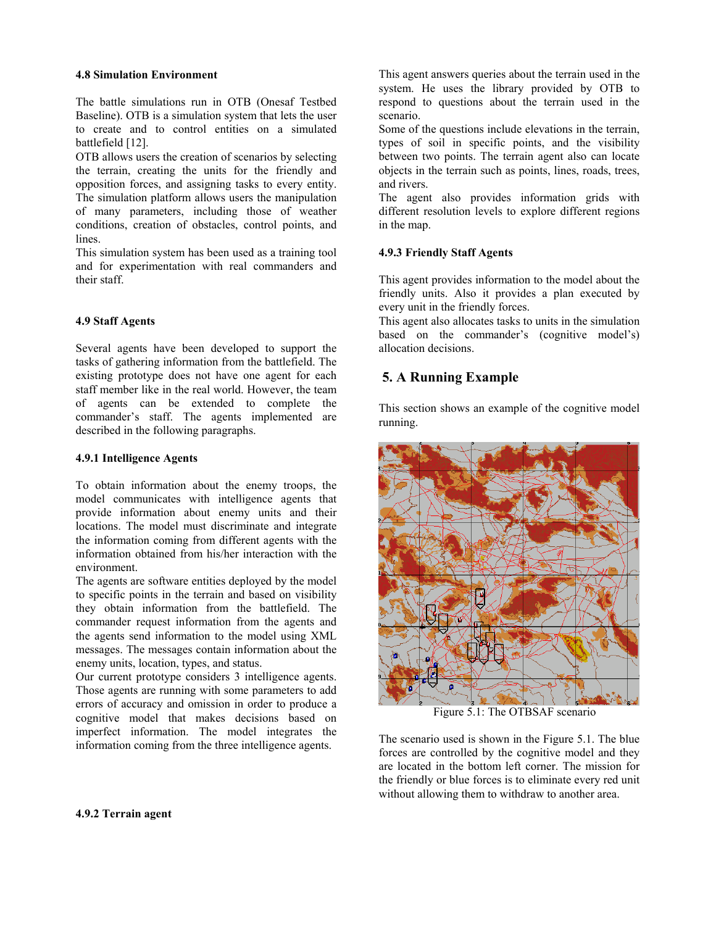#### **4.8 Simulation Environment**

The battle simulations run in OTB (Onesaf Testbed Baseline). OTB is a simulation system that lets the user to create and to control entities on a simulated battlefield [12].

OTB allows users the creation of scenarios by selecting the terrain, creating the units for the friendly and opposition forces, and assigning tasks to every entity. The simulation platform allows users the manipulation of many parameters, including those of weather conditions, creation of obstacles, control points, and lines.

This simulation system has been used as a training tool and for experimentation with real commanders and their staff.

### **4.9 Staff Agents**

Several agents have been developed to support the tasks of gathering information from the battlefield. The existing prototype does not have one agent for each staff member like in the real world. However, the team of agents can be extended to complete the commander's staff. The agents implemented are described in the following paragraphs.

#### **4.9.1 Intelligence Agents**

To obtain information about the enemy troops, the model communicates with intelligence agents that provide information about enemy units and their locations. The model must discriminate and integrate the information coming from different agents with the information obtained from his/her interaction with the environment.

The agents are software entities deployed by the model to specific points in the terrain and based on visibility they obtain information from the battlefield. The commander request information from the agents and the agents send information to the model using XML messages. The messages contain information about the enemy units, location, types, and status.

Our current prototype considers 3 intelligence agents. Those agents are running with some parameters to add errors of accuracy and omission in order to produce a cognitive model that makes decisions based on imperfect information. The model integrates the information coming from the three intelligence agents.

This agent answers queries about the terrain used in the system. He uses the library provided by OTB to respond to questions about the terrain used in the scenario.

Some of the questions include elevations in the terrain, types of soil in specific points, and the visibility between two points. The terrain agent also can locate objects in the terrain such as points, lines, roads, trees, and rivers.

The agent also provides information grids with different resolution levels to explore different regions in the map.

## **4.9.3 Friendly Staff Agents**

This agent provides information to the model about the friendly units. Also it provides a plan executed by every unit in the friendly forces.

This agent also allocates tasks to units in the simulation based on the commander's (cognitive model's) allocation decisions.

# **5. A Running Example**

This section shows an example of the cognitive model running.



Figure 5.1: The OTBSAF scenario

The scenario used is shown in the Figure 5.1. The blue forces are controlled by the cognitive model and they are located in the bottom left corner. The mission for the friendly or blue forces is to eliminate every red unit without allowing them to withdraw to another area.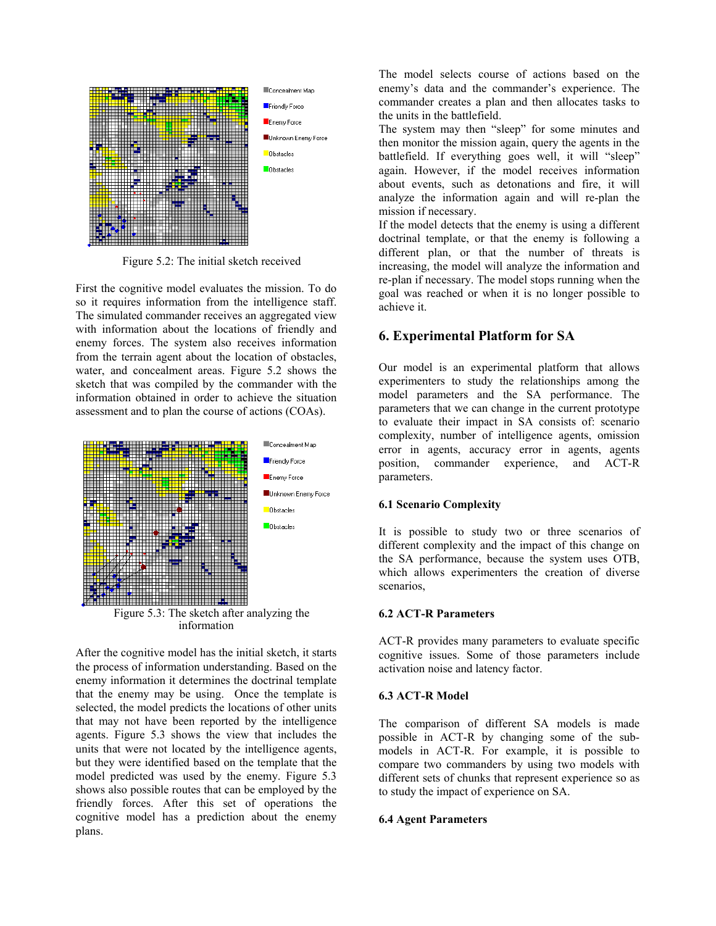

Figure 5.2: The initial sketch received

First the cognitive model evaluates the mission. To do so it requires information from the intelligence staff. The simulated commander receives an aggregated view with information about the locations of friendly and enemy forces. The system also receives information from the terrain agent about the location of obstacles, water, and concealment areas. Figure 5.2 shows the sketch that was compiled by the commander with the information obtained in order to achieve the situation assessment and to plan the course of actions (COAs).



After the cognitive model has the initial sketch, it starts the process of information understanding. Based on the enemy information it determines the doctrinal template that the enemy may be using. Once the template is selected, the model predicts the locations of other units that may not have been reported by the intelligence agents. Figure 5.3 shows the view that includes the units that were not located by the intelligence agents, but they were identified based on the template that the model predicted was used by the enemy. Figure 5.3 shows also possible routes that can be employed by the friendly forces. After this set of operations the cognitive model has a prediction about the enemy plans.

The model selects course of actions based on the enemy's data and the commander's experience. The commander creates a plan and then allocates tasks to the units in the battlefield.

The system may then "sleep" for some minutes and then monitor the mission again, query the agents in the battlefield. If everything goes well, it will "sleep" again. However, if the model receives information about events, such as detonations and fire, it will analyze the information again and will re-plan the mission if necessary.

If the model detects that the enemy is using a different doctrinal template, or that the enemy is following a different plan, or that the number of threats is increasing, the model will analyze the information and re-plan if necessary. The model stops running when the goal was reached or when it is no longer possible to achieve it.

## **6. Experimental Platform for SA**

Our model is an experimental platform that allows experimenters to study the relationships among the model parameters and the SA performance. The parameters that we can change in the current prototype to evaluate their impact in SA consists of: scenario complexity, number of intelligence agents, omission error in agents, accuracy error in agents, agents position, commander experience, and ACT-R parameters.

#### **6.1 Scenario Complexity**

It is possible to study two or three scenarios of different complexity and the impact of this change on the SA performance, because the system uses OTB, which allows experimenters the creation of diverse scenarios,

#### **6.2 ACT-R Parameters**

ACT-R provides many parameters to evaluate specific cognitive issues. Some of those parameters include activation noise and latency factor.

#### **6.3 ACT-R Model**

The comparison of different SA models is made possible in ACT-R by changing some of the submodels in ACT-R. For example, it is possible to compare two commanders by using two models with different sets of chunks that represent experience so as to study the impact of experience on SA.

#### **6.4 Agent Parameters**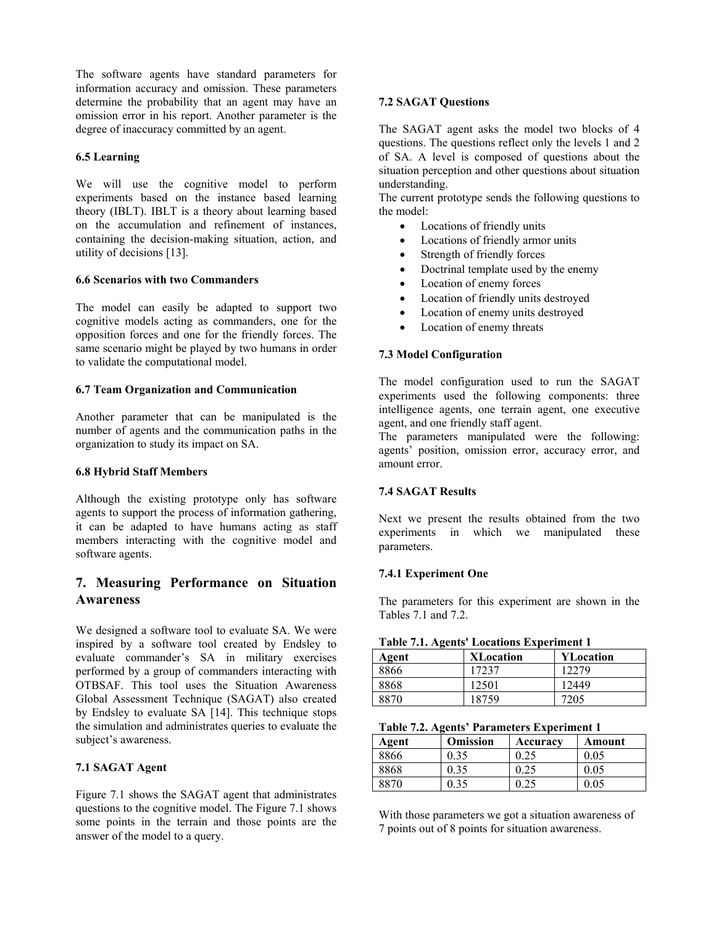The software agents have standard parameters for information accuracy and omission. These parameters determine the probability that an agent may have an omission error in his report. Another parameter is the degree of inaccuracy committed by an agent.

### **6.5 Learning**

We will use the cognitive model to perform experiments based on the instance based learning theory (IBLT). IBLT is a theory about learning based on the accumulation and refinement of instances, containing the decision-making situation, action, and utility of decisions [13].

### **6.6 Scenarios with two Commanders**

The model can easily be adapted to support two cognitive models acting as commanders, one for the opposition forces and one for the friendly forces. The same scenario might be played by two humans in order to validate the computational model.

#### **6.7 Team Organization and Communication**

Another parameter that can be manipulated is the number of agents and the communication paths in the organization to study its impact on SA.

#### **6.8 Hybrid Staff Members**

Although the existing prototype only has software agents to support the process of information gathering, it can be adapted to have humans acting as staff members interacting with the cognitive model and software agents.

# **7. Measuring Performance on Situation Awareness**

We designed a software tool to evaluate SA. We were inspired by a software tool created by Endsley to evaluate commander's SA in military exercises performed by a group of commanders interacting with OTBSAF. This tool uses the Situation Awareness Global Assessment Technique (SAGAT) also created by Endsley to evaluate SA [14]. This technique stops the simulation and administrates queries to evaluate the subject's awareness.

## **7.1 SAGAT Agent**

Figure 7.1 shows the SAGAT agent that administrates questions to the cognitive model. The Figure 7.1 shows some points in the terrain and those points are the answer of the model to a query.

## **7.2 SAGAT Questions**

The SAGAT agent asks the model two blocks of 4 questions. The questions reflect only the levels 1 and 2 of SA. A level is composed of questions about the situation perception and other questions about situation understanding.

The current prototype sends the following questions to the model:

- Locations of friendly units
- Locations of friendly armor units
- Strength of friendly forces
	- Doctrinal template used by the enemy
- Location of enemy forces
- Location of friendly units destroyed
- Location of enemy units destroyed
- Location of enemy threats

### **7.3 Model Configuration**

The model configuration used to run the SAGAT experiments used the following components: three intelligence agents, one terrain agent, one executive agent, and one friendly staff agent.

The parameters manipulated were the following: agents' position, omission error, accuracy error, and amount error.

## **7.4 SAGAT Results**

Next we present the results obtained from the two experiments in which we manipulated these parameters.

#### **7.4.1 Experiment One**

The parameters for this experiment are shown in the Tables 7.1 and 7.2.

|  |  |  |  | <b>Table 7.1. Agents' Locations Experiment 1</b> |
|--|--|--|--|--------------------------------------------------|
|--|--|--|--|--------------------------------------------------|

| Agent | <b>XLocation</b> | <b>YLocation</b> |
|-------|------------------|------------------|
| 8866  | 17237            | 12279            |
| 8868  | 12501            | 12449            |
| 8870  | 18759            | 7205             |

**Table 7.2. Agents' Parameters Experiment 1** 

| Agent | <b>Omission</b> | Accuracy | Amount |
|-------|-----------------|----------|--------|
| 8866  | 0.35            |          | 0.05   |
| 8868  | 0.35            |          | 0.05   |
| 8870  | 0.35            |          | 0.5    |

With those parameters we got a situation awareness of 7 points out of 8 points for situation awareness.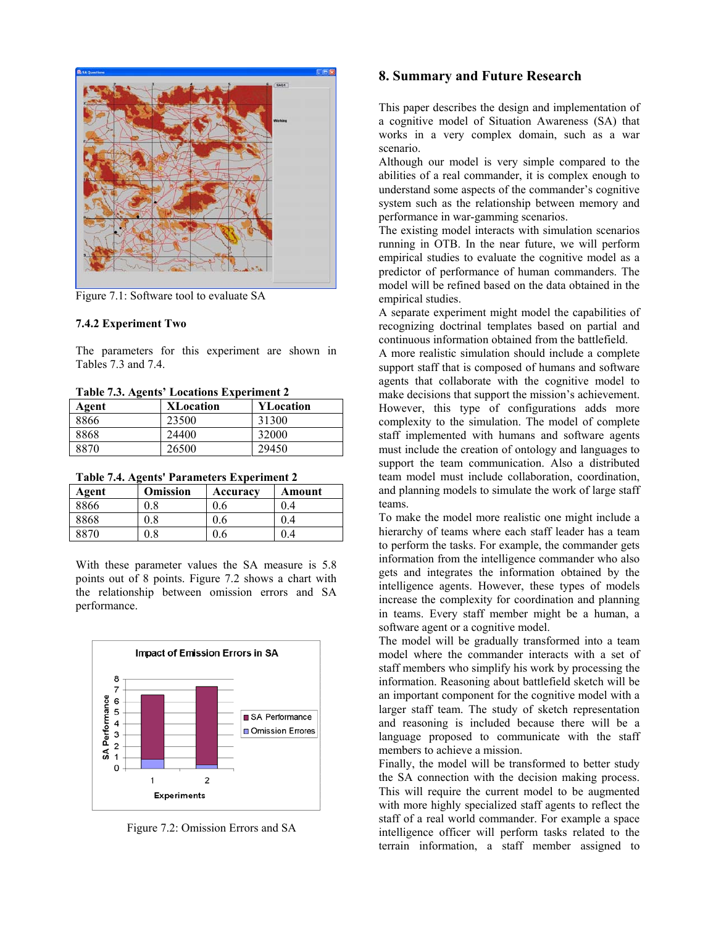

Figure 7.1: Software tool to evaluate SA

#### **7.4.2 Experiment Two**

The parameters for this experiment are shown in Tables 7.3 and 7.4.

**Table 7.3. Agents' Locations Experiment 2** 

| -<br>Agent | <b>XLocation</b> | <b>YLocation</b> |
|------------|------------------|------------------|
| 8866       | 23500            | 31300            |
| 8868       | 24400            | 32000            |
| 8870       | 26500            | 29450            |

**Table 7.4. Agents' Parameters Experiment 2** 

| Agent | <b>Omission</b> | Accuracy | Amount |
|-------|-----------------|----------|--------|
| 8866  | $0.8\,$         | J.O      | 0.4    |
| 8868  | $0.8\,$         | U.6      | U.4    |
| 2870  | 0.8             |          | 1.4    |

With these parameter values the SA measure is 5.8 points out of 8 points. Figure 7.2 shows a chart with the relationship between omission errors and SA performance.



Figure 7.2: Omission Errors and SA

## **8. Summary and Future Research**

This paper describes the design and implementation of a cognitive model of Situation Awareness (SA) that works in a very complex domain, such as a war scenario.

Although our model is very simple compared to the abilities of a real commander, it is complex enough to understand some aspects of the commander's cognitive system such as the relationship between memory and performance in war-gamming scenarios.

The existing model interacts with simulation scenarios running in OTB. In the near future, we will perform empirical studies to evaluate the cognitive model as a predictor of performance of human commanders. The model will be refined based on the data obtained in the empirical studies.

A separate experiment might model the capabilities of recognizing doctrinal templates based on partial and continuous information obtained from the battlefield.

A more realistic simulation should include a complete support staff that is composed of humans and software agents that collaborate with the cognitive model to make decisions that support the mission's achievement. However, this type of configurations adds more complexity to the simulation. The model of complete staff implemented with humans and software agents must include the creation of ontology and languages to support the team communication. Also a distributed team model must include collaboration, coordination, and planning models to simulate the work of large staff teams.

To make the model more realistic one might include a hierarchy of teams where each staff leader has a team to perform the tasks. For example, the commander gets information from the intelligence commander who also gets and integrates the information obtained by the intelligence agents. However, these types of models increase the complexity for coordination and planning in teams. Every staff member might be a human, a software agent or a cognitive model.

The model will be gradually transformed into a team model where the commander interacts with a set of staff members who simplify his work by processing the information. Reasoning about battlefield sketch will be an important component for the cognitive model with a larger staff team. The study of sketch representation and reasoning is included because there will be a language proposed to communicate with the staff members to achieve a mission.

Finally, the model will be transformed to better study the SA connection with the decision making process. This will require the current model to be augmented with more highly specialized staff agents to reflect the staff of a real world commander. For example a space intelligence officer will perform tasks related to the terrain information, a staff member assigned to